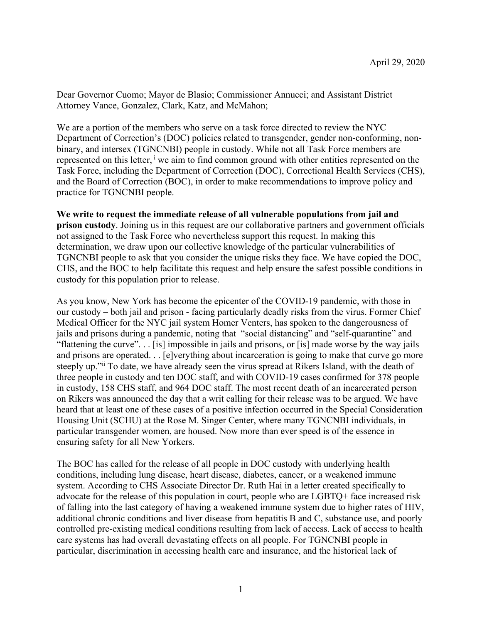Dear Governor Cuomo; Mayor de Blasio; Commissioner Annucci; and Assistant District Attorney Vance, Gonzalez, Clark, Katz, and McMahon;

We are a portion of the members who serve on a task force directed to review the NYC Department of Correction's (DOC) policies related to transgender, gender non-conforming, nonbinary, and intersex (TGNCNBI) people in custody. While not all Task Force members are represented on this letter,  $\frac{1}{x}$  we aim to find common ground with other entities represented on the Task Force, including the Department of Correction (DOC), Correctional Health Services (CHS), and the Board of Correction (BOC), in order to make recommendations to improve policy and practice for TGNCNBI people.

## **We write to request the immediate release of all vulnerable populations from jail and**

**prison custody**. Joining us in this request are our collaborative partners and government officials not assigned to the Task Force who nevertheless support this request. In making this determination, we draw upon our collective knowledge of the particular vulnerabilities of TGNCNBI people to ask that you consider the unique risks they face. We have copied the DOC, CHS, and the BOC to help facilitate this request and help ensure the safest possible conditions in custody for this population prior to release.

As you know, New York has become the epicenter of the COVID-19 pandemic, with those in our custody – both jail and prison - facing particularly deadly risks from the virus. Former Chief Medical Officer for the NYC jail system Homer Venters, has spoken to the dangerousness of jails and prisons during a pandemic, noting that "social distancing" and "self-quarantine" and "flattening the curve". . . [is] impossible in jails and prisons, or [is] made worse by the way jails and prisons are operated. . . [e]verything about incarceration is going to make that curve go more steeply up."ii To date, we have already seen the virus spread at Rikers Island, with the death of three people in custody and ten DOC staff, and with COVID-19 cases confirmed for 378 people in custody, 158 CHS staff, and 964 DOC staff. The most recent death of an incarcerated person on Rikers was announced the day that a writ calling for their release was to be argued. We have heard that at least one of these cases of a positive infection occurred in the Special Consideration Housing Unit (SCHU) at the Rose M. Singer Center, where many TGNCNBI individuals, in particular transgender women, are housed. Now more than ever speed is of the essence in ensuring safety for all New Yorkers.

The BOC has called for the release of all people in DOC custody with underlying health conditions, including lung disease, heart disease, diabetes, cancer, or a weakened immune system. According to CHS Associate Director Dr. Ruth Hai in a letter created specifically to advocate for the release of this population in court, people who are LGBTQ+ face increased risk of falling into the last category of having a weakened immune system due to higher rates of HIV, additional chronic conditions and liver disease from hepatitis B and C, substance use, and poorly controlled pre-existing medical conditions resulting from lack of access. Lack of access to health care systems has had overall devastating effects on all people. For TGNCNBI people in particular, discrimination in accessing health care and insurance, and the historical lack of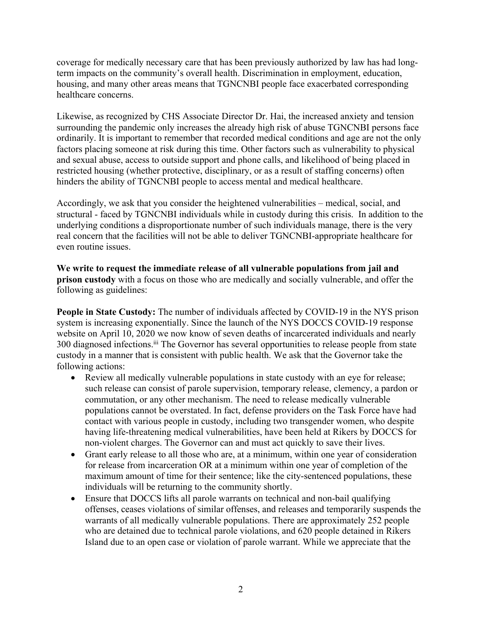coverage for medically necessary care that has been previously authorized by law has had longterm impacts on the community's overall health. Discrimination in employment, education, housing, and many other areas means that TGNCNBI people face exacerbated corresponding healthcare concerns.

Likewise, as recognized by CHS Associate Director Dr. Hai, the increased anxiety and tension surrounding the pandemic only increases the already high risk of abuse TGNCNBI persons face ordinarily. It is important to remember that recorded medical conditions and age are not the only factors placing someone at risk during this time. Other factors such as vulnerability to physical and sexual abuse, access to outside support and phone calls, and likelihood of being placed in restricted housing (whether protective, disciplinary, or as a result of staffing concerns) often hinders the ability of TGNCNBI people to access mental and medical healthcare.

Accordingly, we ask that you consider the heightened vulnerabilities – medical, social, and structural - faced by TGNCNBI individuals while in custody during this crisis. In addition to the underlying conditions a disproportionate number of such individuals manage, there is the very real concern that the facilities will not be able to deliver TGNCNBI-appropriate healthcare for even routine issues.

**We write to request the immediate release of all vulnerable populations from jail and prison custody** with a focus on those who are medically and socially vulnerable, and offer the following as guidelines:

**People in State Custody:** The number of individuals affected by COVID-19 in the NYS prison system is increasing exponentially. Since the launch of the NYS DOCCS COVID-19 response website on April 10, 2020 we now know of seven deaths of incarcerated individuals and nearly 300 diagnosed infections.<sup>iii</sup> The Governor has several opportunities to release people from state custody in a manner that is consistent with public health. We ask that the Governor take the following actions:

- Review all medically vulnerable populations in state custody with an eye for release; such release can consist of parole supervision, temporary release, clemency, a pardon or commutation, or any other mechanism. The need to release medically vulnerable populations cannot be overstated. In fact, defense providers on the Task Force have had contact with various people in custody, including two transgender women, who despite having life-threatening medical vulnerabilities, have been held at Rikers by DOCCS for non-violent charges. The Governor can and must act quickly to save their lives.
- Grant early release to all those who are, at a minimum, within one year of consideration for release from incarceration OR at a minimum within one year of completion of the maximum amount of time for their sentence; like the city-sentenced populations, these individuals will be returning to the community shortly.
- Ensure that DOCCS lifts all parole warrants on technical and non-bail qualifying offenses, ceases violations of similar offenses, and releases and temporarily suspends the warrants of all medically vulnerable populations. There are approximately 252 people who are detained due to technical parole violations, and 620 people detained in Rikers Island due to an open case or violation of parole warrant. While we appreciate that the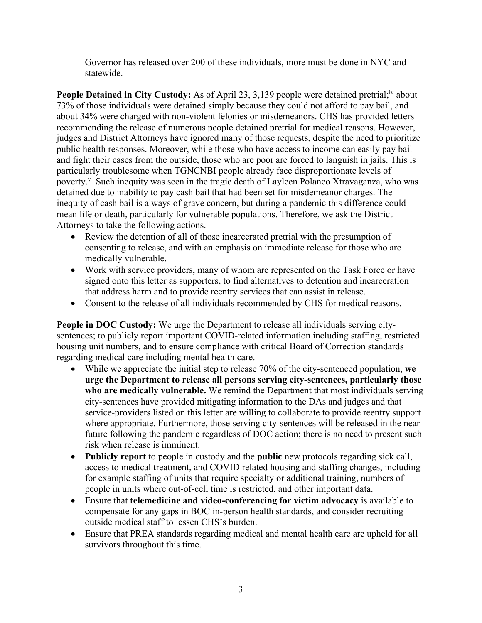Governor has released over 200 of these individuals, more must be done in NYC and statewide.

People Detained in City Custody: As of April 23, 3,139 people were detained pretrial;<sup>iv</sup> about 73% of those individuals were detained simply because they could not afford to pay bail, and about 34% were charged with non-violent felonies or misdemeanors. CHS has provided letters recommending the release of numerous people detained pretrial for medical reasons. However, judges and District Attorneys have ignored many of those requests, despite the need to prioritize public health responses. Moreover, while those who have access to income can easily pay bail and fight their cases from the outside, those who are poor are forced to languish in jails. This is particularly troublesome when TGNCNBI people already face disproportionate levels of poverty. Such inequity was seen in the tragic death of Layleen Polanco Xtravaganza, who was detained due to inability to pay cash bail that had been set for misdemeanor charges. The inequity of cash bail is always of grave concern, but during a pandemic this difference could mean life or death, particularly for vulnerable populations. Therefore, we ask the District Attorneys to take the following actions.

- Review the detention of all of those incarcerated pretrial with the presumption of consenting to release, and with an emphasis on immediate release for those who are medically vulnerable.
- Work with service providers, many of whom are represented on the Task Force or have signed onto this letter as supporters, to find alternatives to detention and incarceration that address harm and to provide reentry services that can assist in release.
- Consent to the release of all individuals recommended by CHS for medical reasons.

**People in DOC Custody:** We urge the Department to release all individuals serving citysentences; to publicly report important COVID-related information including staffing, restricted housing unit numbers, and to ensure compliance with critical Board of Correction standards regarding medical care including mental health care.

- While we appreciate the initial step to release 70% of the city-sentenced population, **we urge the Department to release all persons serving city-sentences, particularly those who are medically vulnerable.** We remind the Department that most individuals serving city-sentences have provided mitigating information to the DAs and judges and that service-providers listed on this letter are willing to collaborate to provide reentry support where appropriate. Furthermore, those serving city-sentences will be released in the near future following the pandemic regardless of DOC action; there is no need to present such risk when release is imminent.
- **Publicly report** to people in custody and the **public** new protocols regarding sick call, access to medical treatment, and COVID related housing and staffing changes, including for example staffing of units that require specialty or additional training, numbers of people in units where out-of-cell time is restricted, and other important data.
- Ensure that **telemedicine and video-conferencing for victim advocacy** is available to compensate for any gaps in BOC in-person health standards, and consider recruiting outside medical staff to lessen CHS's burden.
- Ensure that PREA standards regarding medical and mental health care are upheld for all survivors throughout this time.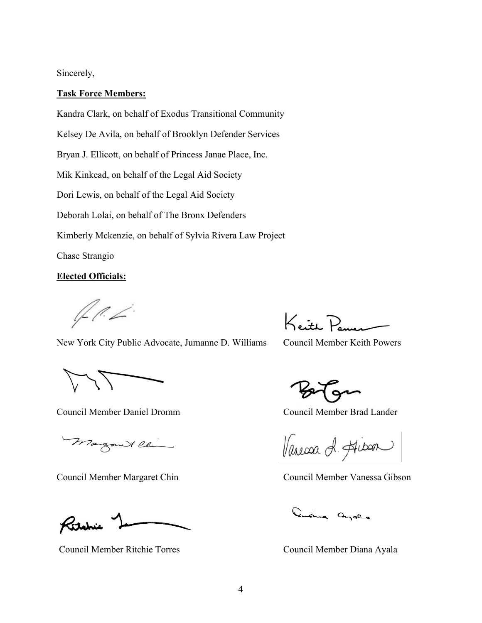## Sincerely,

#### **Task Force Members:**

Kandra Clark, on behalf of Exodus Transitional Community Kelsey De Avila, on behalf of Brooklyn Defender Services Bryan J. Ellicott, on behalf of Princess Janae Place, Inc. Mik Kinkead, on behalf of the Legal Aid Society Dori Lewis, on behalf of the Legal Aid Society Deborah Lolai, on behalf of The Bronx Defenders Kimberly Mckenzie, on behalf of Sylvia Rivera Law Project Chase Strangio

### **Elected Officials:**

L (!. Z

New York City Public Advocate, Jumanne D. Williams Council Member Keith Powers

Council Member Daniel Dromm Council Member Brad Lander

Margaret China

Ritchie

Council Member Ritchie Torres Council Member Diana Ayala

Keith Power

Varessa A. Hitsen

Council Member Margaret Chin Council Member Vanessa Gibson

ania ayora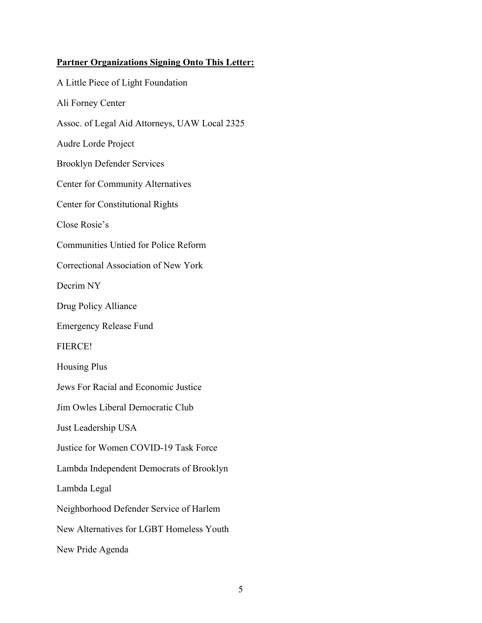# **Partner Organizations Signing Onto This Letter:**